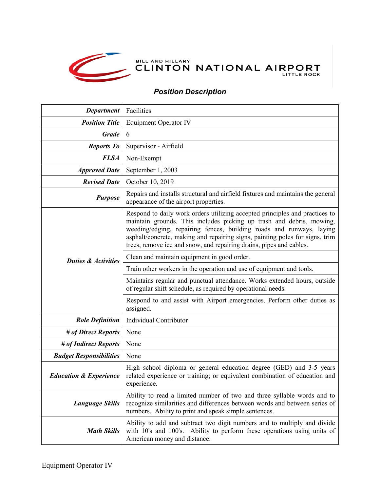

## BILL AND HILLARY NATIONAL AIRPORT

## *Position Description*

| <b>Department</b>                 | Facilities                                                                                                                                                                                                                                                                                                                                                                         |
|-----------------------------------|------------------------------------------------------------------------------------------------------------------------------------------------------------------------------------------------------------------------------------------------------------------------------------------------------------------------------------------------------------------------------------|
| <b>Position Title</b>             | <b>Equipment Operator IV</b>                                                                                                                                                                                                                                                                                                                                                       |
| <b>Grade</b>                      | 6                                                                                                                                                                                                                                                                                                                                                                                  |
| <b>Reports To</b>                 | Supervisor - Airfield                                                                                                                                                                                                                                                                                                                                                              |
| <b>FLSA</b>                       | Non-Exempt                                                                                                                                                                                                                                                                                                                                                                         |
| <b>Approved Date</b>              | September 1, 2003                                                                                                                                                                                                                                                                                                                                                                  |
| <b>Revised Date</b>               | October 10, 2019                                                                                                                                                                                                                                                                                                                                                                   |
| <b>Purpose</b>                    | Repairs and installs structural and airfield fixtures and maintains the general<br>appearance of the airport properties.                                                                                                                                                                                                                                                           |
| <b>Duties &amp; Activities</b>    | Respond to daily work orders utilizing accepted principles and practices to<br>maintain grounds. This includes picking up trash and debris, mowing,<br>weeding/edging, repairing fences, building roads and runways, laying<br>asphalt/concrete, making and repairing signs, painting poles for signs, trim<br>trees, remove ice and snow, and repairing drains, pipes and cables. |
|                                   | Clean and maintain equipment in good order.                                                                                                                                                                                                                                                                                                                                        |
|                                   | Train other workers in the operation and use of equipment and tools.                                                                                                                                                                                                                                                                                                               |
|                                   | Maintains regular and punctual attendance. Works extended hours, outside<br>of regular shift schedule, as required by operational needs.                                                                                                                                                                                                                                           |
|                                   | Respond to and assist with Airport emergencies. Perform other duties as<br>assigned.                                                                                                                                                                                                                                                                                               |
| <b>Role Definition</b>            | Individual Contributor                                                                                                                                                                                                                                                                                                                                                             |
| # of Direct Reports               | None                                                                                                                                                                                                                                                                                                                                                                               |
| # of Indirect Reports             | None                                                                                                                                                                                                                                                                                                                                                                               |
| <b>Budget Responsibilities</b>    | None                                                                                                                                                                                                                                                                                                                                                                               |
| <b>Education &amp; Experience</b> | High school diploma or general education degree (GED) and 3-5 years<br>related experience or training; or equivalent combination of education and<br>experience                                                                                                                                                                                                                    |
| <b>Language Skills</b>            | Ability to read a limited number of two and three syllable words and to<br>recognize similarities and differences between words and between series of<br>numbers. Ability to print and speak simple sentences.                                                                                                                                                                     |
| <b>Math Skills</b>                | Ability to add and subtract two digit numbers and to multiply and divide<br>with 10's and 100's. Ability to perform these operations using units of<br>American money and distance.                                                                                                                                                                                                |